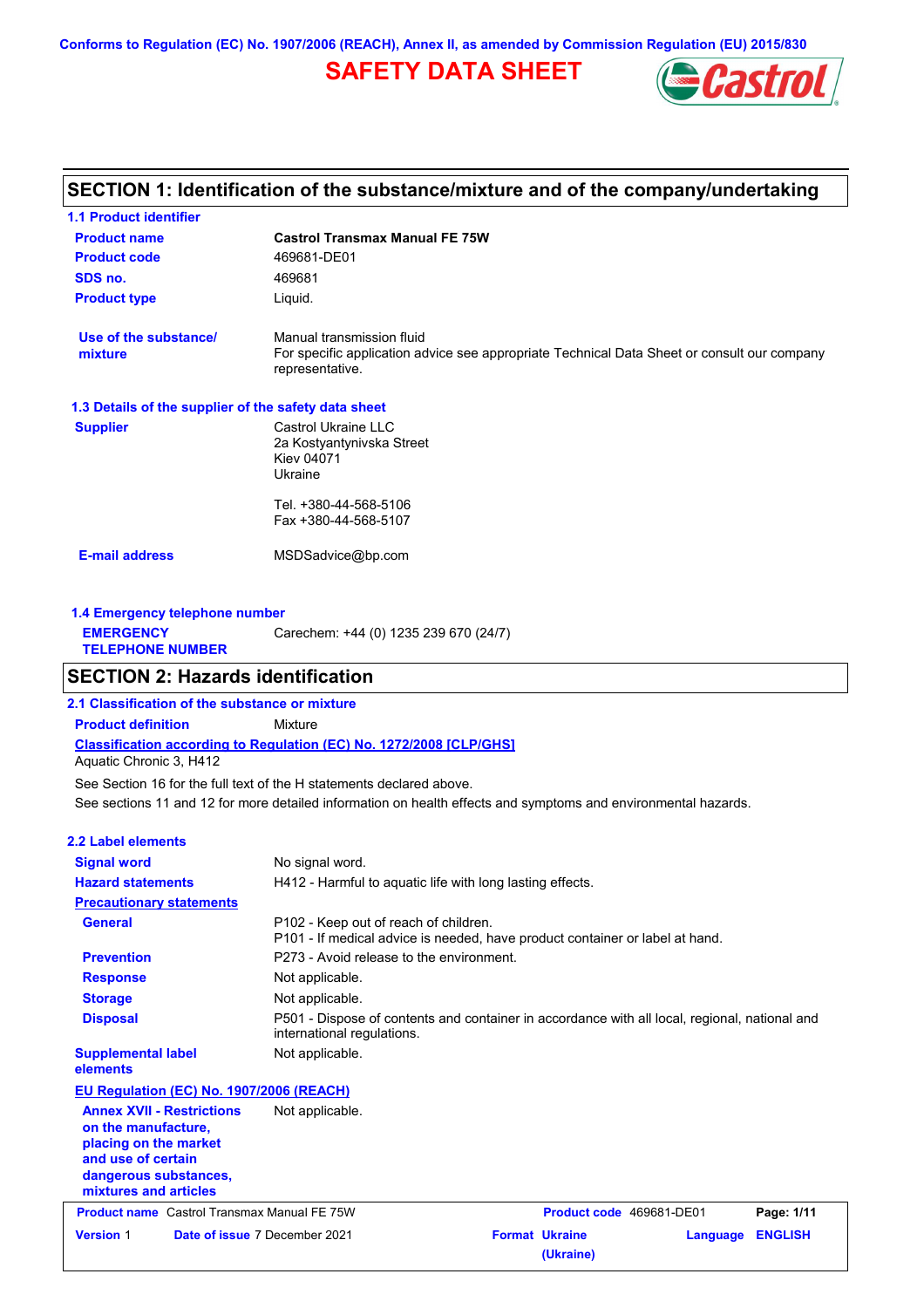**Conforms to Regulation (EC) No. 1907/2006 (REACH), Annex II, as amended by Commission Regulation (EU) 2015/830**

## **SAFETY DATA SHEET**



## **SECTION 1: Identification of the substance/mixture and of the company/undertaking**

| <b>1.1 Product identifier</b>                        |                                                                                                                                             |
|------------------------------------------------------|---------------------------------------------------------------------------------------------------------------------------------------------|
| <b>Product name</b>                                  | <b>Castrol Transmax Manual FE 75W</b>                                                                                                       |
| <b>Product code</b>                                  | 469681-DE01                                                                                                                                 |
| SDS no.                                              | 469681                                                                                                                                      |
| <b>Product type</b>                                  | Liquid.                                                                                                                                     |
| Use of the substance/<br>mixture                     | Manual transmission fluid<br>For specific application advice see appropriate Technical Data Sheet or consult our company<br>representative. |
| 1.3 Details of the supplier of the safety data sheet |                                                                                                                                             |
| <b>Supplier</b>                                      | Castrol Ukraine LLC<br>2a Kostyantynivska Street<br><b>Kiev 04071</b><br>Ukraine                                                            |
|                                                      | Tel. +380-44-568-5106                                                                                                                       |
|                                                      | Fax +380-44-568-5107                                                                                                                        |
| <b>E-mail address</b>                                | MSDSadvice@bp.com                                                                                                                           |
| 1.4 Emergency telephone number                       |                                                                                                                                             |
| <b>EMERGENCY</b>                                     | Carechem: +44 (0) 1235 239 670 (24/7)                                                                                                       |

### **SECTION 2: Hazards identification**

**2.1 Classification of the substance or mixture**

**Classification according to Regulation (EC) No. 1272/2008 [CLP/GHS] Product definition** Mixture

Aquatic Chronic 3, H412

**TELEPHONE NUMBER**

See sections 11 and 12 for more detailed information on health effects and symptoms and environmental hazards. See Section 16 for the full text of the H statements declared above.

| 2.2 Label elements                                                                                                                                       |                                                                                                                             |
|----------------------------------------------------------------------------------------------------------------------------------------------------------|-----------------------------------------------------------------------------------------------------------------------------|
| <b>Signal word</b>                                                                                                                                       | No signal word.                                                                                                             |
| <b>Hazard statements</b>                                                                                                                                 | H412 - Harmful to aquatic life with long lasting effects.                                                                   |
| <b>Precautionary statements</b>                                                                                                                          |                                                                                                                             |
| <b>General</b>                                                                                                                                           | P102 - Keep out of reach of children.<br>P101 - If medical advice is needed, have product container or label at hand.       |
| <b>Prevention</b>                                                                                                                                        | P273 - Avoid release to the environment.                                                                                    |
| <b>Response</b>                                                                                                                                          | Not applicable.                                                                                                             |
| <b>Storage</b>                                                                                                                                           | Not applicable.                                                                                                             |
| <b>Disposal</b>                                                                                                                                          | P501 - Dispose of contents and container in accordance with all local, regional, national and<br>international regulations. |
| <b>Supplemental label</b><br>elements                                                                                                                    | Not applicable.                                                                                                             |
| EU Regulation (EC) No. 1907/2006 (REACH)                                                                                                                 |                                                                                                                             |
| <b>Annex XVII - Restrictions</b><br>on the manufacture,<br>placing on the market<br>and use of certain<br>dangerous substances,<br>mixtures and articles | Not applicable.                                                                                                             |
| <b>Product name</b> Castrol Transmax Manual FE 75W                                                                                                       | Product code 469681-DE01<br>Page: 1/11                                                                                      |
| <b>Version 1</b>                                                                                                                                         | <b>Format Ukraine</b><br>Date of issue 7 December 2021<br><b>ENGLISH</b><br>Language<br>(Ukraine)                           |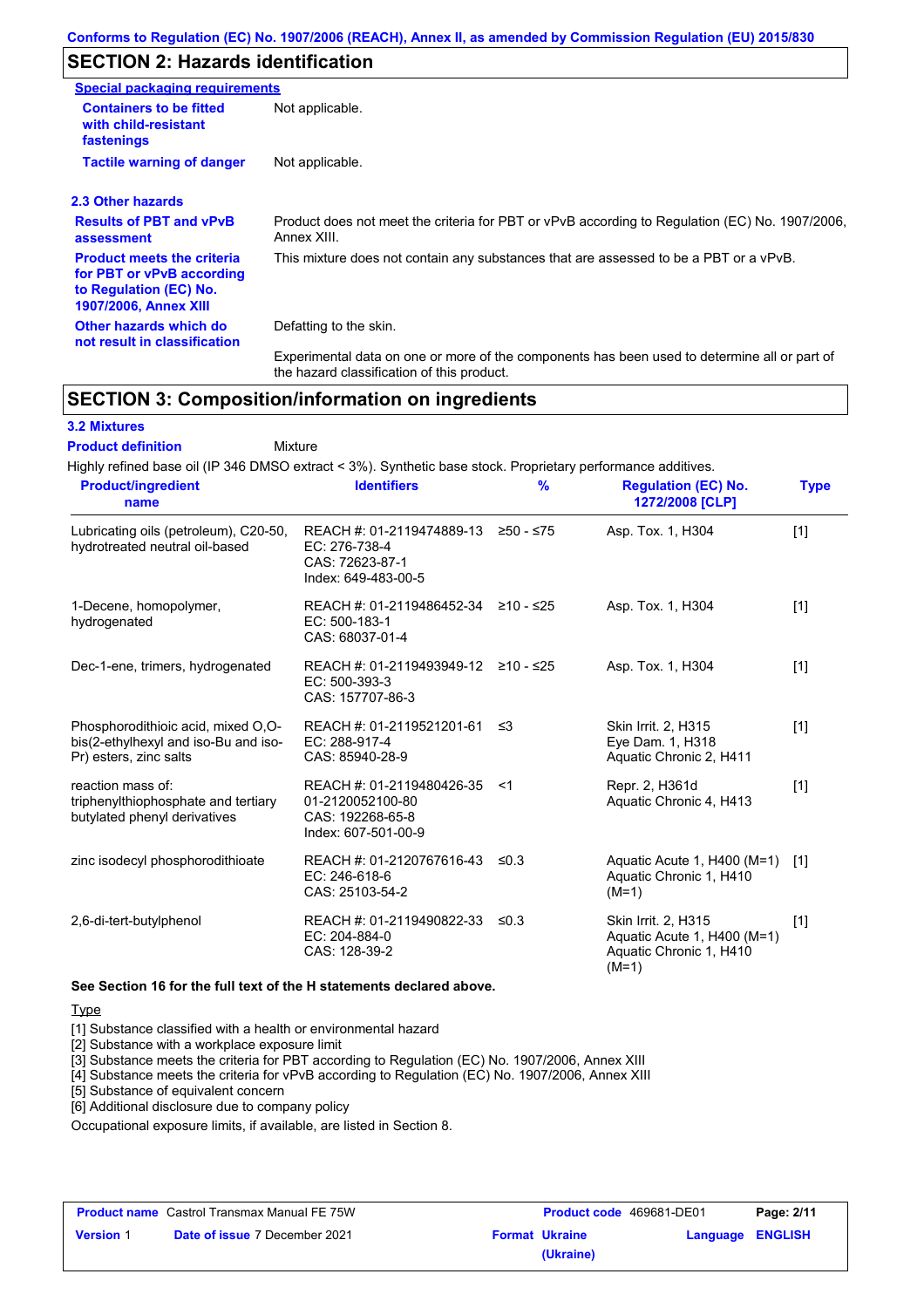## **SECTION 2: Hazards identification**

| <b>Special packaging requirements</b>                                                                                    |                                                                                                               |
|--------------------------------------------------------------------------------------------------------------------------|---------------------------------------------------------------------------------------------------------------|
| <b>Containers to be fitted</b><br>with child-resistant<br>fastenings                                                     | Not applicable.                                                                                               |
| <b>Tactile warning of danger</b>                                                                                         | Not applicable.                                                                                               |
| 2.3 Other hazards                                                                                                        |                                                                                                               |
| <b>Results of PBT and vPvB</b><br>assessment                                                                             | Product does not meet the criteria for PBT or vPvB according to Regulation (EC) No. 1907/2006,<br>Annex XIII. |
| <b>Product meets the criteria</b><br>for PBT or vPvB according<br>to Regulation (EC) No.<br><b>1907/2006, Annex XIII</b> | This mixture does not contain any substances that are assessed to be a PBT or a vPvB.                         |
| Other hazards which do<br>not result in classification                                                                   | Defatting to the skin.                                                                                        |
|                                                                                                                          | Experimental data on one or more of the components has been used to determine all or part of                  |

## **SECTION 3: Composition/information on ingredients**

### **3.2 Mixtures**

Mixture **Product definition**

Highly refined base oil (IP 346 DMSO extract < 3%). Synthetic base stock. Proprietary performance additives.

the hazard classification of this product.

| <b>Product/ingredient</b><br>name                                                                    | <b>Identifiers</b>                                                                       | $\frac{9}{6}$ | <b>Regulation (EC) No.</b><br>1272/2008 [CLP]                                                   | <b>Type</b> |
|------------------------------------------------------------------------------------------------------|------------------------------------------------------------------------------------------|---------------|-------------------------------------------------------------------------------------------------|-------------|
| Lubricating oils (petroleum), C20-50,<br>hydrotreated neutral oil-based                              | REACH #: 01-2119474889-13<br>EC: 276-738-4<br>CAS: 72623-87-1<br>Index: 649-483-00-5     | $≥50 - ≤75$   | Asp. Tox. 1, H304                                                                               | $[1]$       |
| 1-Decene, homopolymer,<br>hydrogenated                                                               | REACH #: 01-2119486452-34 ≥10 - ≤25<br>EC: 500-183-1<br>CAS: 68037-01-4                  |               | Asp. Tox. 1, H304                                                                               | $[1]$       |
| Dec-1-ene, trimers, hydrogenated                                                                     | REACH #: 01-2119493949-12<br>EC: 500-393-3<br>CAS: 157707-86-3                           | ≥10 - ≤25     | Asp. Tox. 1, H304                                                                               | $[1]$       |
| Phosphorodithioic acid, mixed O,O-<br>bis(2-ethylhexyl and iso-Bu and iso-<br>Pr) esters, zinc salts | REACH #: 01-2119521201-61<br>EC: 288-917-4<br>CAS: 85940-28-9                            | ≤3            | <b>Skin Irrit. 2, H315</b><br>Eye Dam. 1, H318<br>Aquatic Chronic 2, H411                       | $[1]$       |
| reaction mass of:<br>triphenylthiophosphate and tertiary<br>butylated phenyl derivatives             | REACH #: 01-2119480426-35<br>01-2120052100-80<br>CAS: 192268-65-8<br>Index: 607-501-00-9 | $<$ 1         | Repr. 2, H361d<br>Aquatic Chronic 4, H413                                                       | $[1]$       |
| zinc isodecyl phosphorodithioate                                                                     | REACH #: 01-2120767616-43<br>EC: 246-618-6<br>CAS: 25103-54-2                            | $\leq 0.3$    | Aquatic Acute 1, H400 (M=1)<br>Aquatic Chronic 1, H410<br>$(M=1)$                               | [1]         |
| 2,6-di-tert-butylphenol                                                                              | REACH #: 01-2119490822-33<br>EC: 204-884-0<br>CAS: 128-39-2                              | $\leq 0.3$    | <b>Skin Irrit. 2, H315</b><br>Aquatic Acute 1, H400 (M=1)<br>Aquatic Chronic 1, H410<br>$(M=1)$ | $[1]$       |

#### **See Section 16 for the full text of the H statements declared above.**

#### **Type**

[1] Substance classified with a health or environmental hazard

[2] Substance with a workplace exposure limit

[3] Substance meets the criteria for PBT according to Regulation (EC) No. 1907/2006, Annex XIII

[4] Substance meets the criteria for vPvB according to Regulation (EC) No. 1907/2006, Annex XIII

[5] Substance of equivalent concern

[6] Additional disclosure due to company policy

Occupational exposure limits, if available, are listed in Section 8.

| <b>Product name</b> Castrol Transmax Manual FE 75W |                                      | <b>Product code</b> 469681-DE01 |                       | Page: 2/11              |  |
|----------------------------------------------------|--------------------------------------|---------------------------------|-----------------------|-------------------------|--|
| <b>Version 1</b>                                   | <b>Date of issue 7 December 2021</b> |                                 | <b>Format Ukraine</b> | <b>Language ENGLISH</b> |  |
|                                                    |                                      |                                 | (Ukraine)             |                         |  |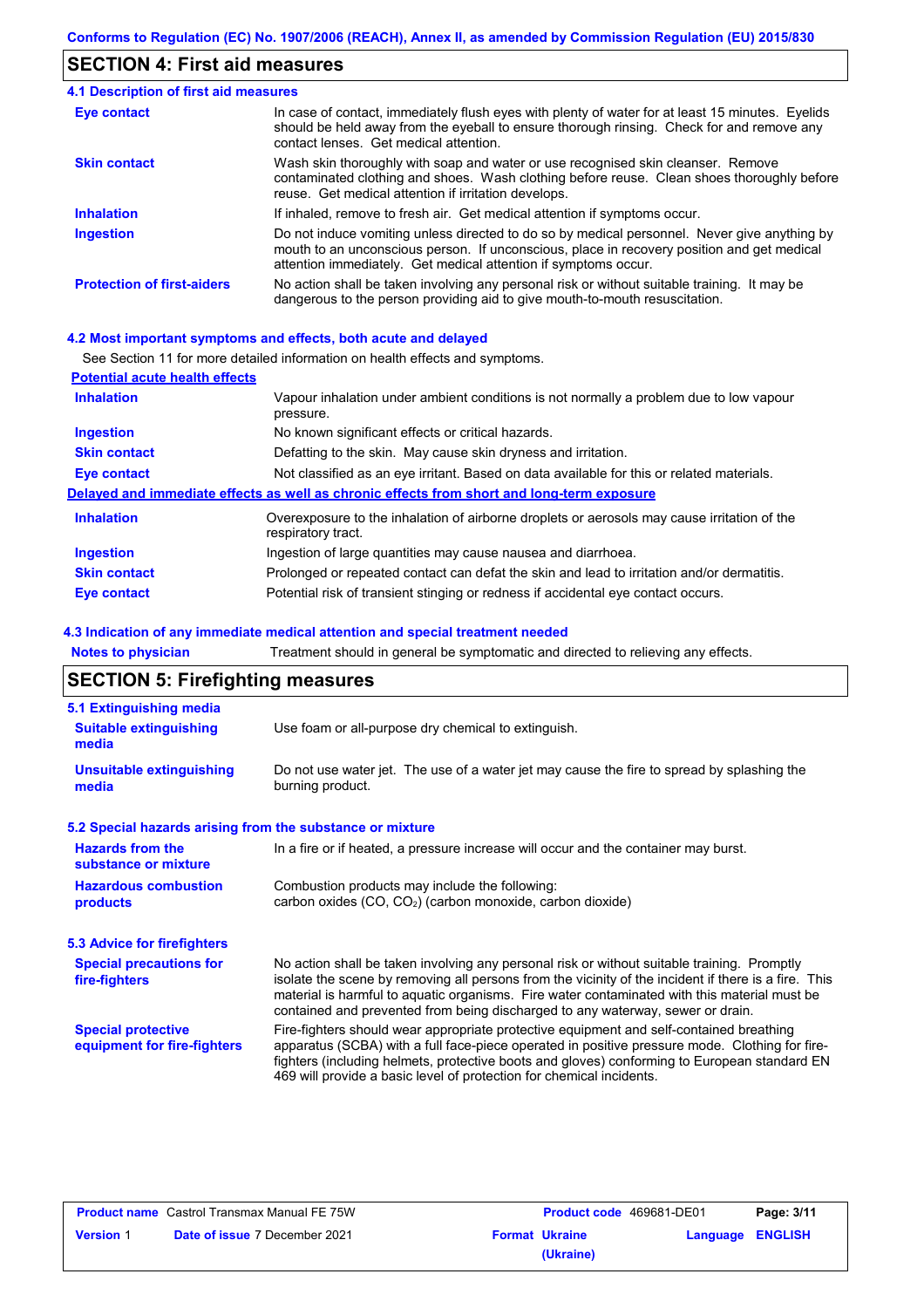## **SECTION 4: First aid measures**

| 4.1 Description of first aid measures |                                                                                                                                                                                                                                                               |
|---------------------------------------|---------------------------------------------------------------------------------------------------------------------------------------------------------------------------------------------------------------------------------------------------------------|
| Eye contact                           | In case of contact, immediately flush eyes with plenty of water for at least 15 minutes. Eyelids<br>should be held away from the eyeball to ensure thorough rinsing. Check for and remove any<br>contact lenses. Get medical attention.                       |
| <b>Skin contact</b>                   | Wash skin thoroughly with soap and water or use recognised skin cleanser. Remove<br>contaminated clothing and shoes. Wash clothing before reuse. Clean shoes thoroughly before<br>reuse. Get medical attention if irritation develops.                        |
| <b>Inhalation</b>                     | If inhaled, remove to fresh air. Get medical attention if symptoms occur.                                                                                                                                                                                     |
| <b>Ingestion</b>                      | Do not induce vomiting unless directed to do so by medical personnel. Never give anything by<br>mouth to an unconscious person. If unconscious, place in recovery position and get medical<br>attention immediately. Get medical attention if symptoms occur. |
| <b>Protection of first-aiders</b>     | No action shall be taken involving any personal risk or without suitable training. It may be<br>dangerous to the person providing aid to give mouth-to-mouth resuscitation.                                                                                   |

### **4.2 Most important symptoms and effects, both acute and delayed**

See Section 11 for more detailed information on health effects and symptoms.

| <b>Potential acute health effects</b> |                                                                                                                   |
|---------------------------------------|-------------------------------------------------------------------------------------------------------------------|
| <b>Inhalation</b>                     | Vapour inhalation under ambient conditions is not normally a problem due to low vapour<br>pressure.               |
| <b>Ingestion</b>                      | No known significant effects or critical hazards.                                                                 |
| <b>Skin contact</b>                   | Defatting to the skin. May cause skin dryness and irritation.                                                     |
| Eye contact                           | Not classified as an eye irritant. Based on data available for this or related materials.                         |
|                                       | Delayed and immediate effects as well as chronic effects from short and long-term exposure                        |
| <b>Inhalation</b>                     | Overexposure to the inhalation of airborne droplets or aerosols may cause irritation of the<br>respiratory tract. |
| <b>Ingestion</b>                      | Ingestion of large quantities may cause nausea and diarrhoea.                                                     |
| <b>Skin contact</b>                   | Prolonged or repeated contact can defat the skin and lead to irritation and/or dermatitis.                        |
| Eye contact                           | Potential risk of transient stinging or redness if accidental eye contact occurs.                                 |

### **4.3 Indication of any immediate medical attention and special treatment needed**

**Notes to physician** Treatment should in general be symptomatic and directed to relieving any effects.

## **SECTION 5: Firefighting measures**

| 5.1 Extinguishing media                                   |                                                                                                                                                                                                                                                                                                                                                                                       |
|-----------------------------------------------------------|---------------------------------------------------------------------------------------------------------------------------------------------------------------------------------------------------------------------------------------------------------------------------------------------------------------------------------------------------------------------------------------|
| <b>Suitable extinguishing</b><br>media                    | Use foam or all-purpose dry chemical to extinguish.                                                                                                                                                                                                                                                                                                                                   |
| <b>Unsuitable extinguishing</b><br>media                  | Do not use water jet. The use of a water jet may cause the fire to spread by splashing the<br>burning product.                                                                                                                                                                                                                                                                        |
| 5.2 Special hazards arising from the substance or mixture |                                                                                                                                                                                                                                                                                                                                                                                       |
| <b>Hazards from the</b><br>substance or mixture           | In a fire or if heated, a pressure increase will occur and the container may burst.                                                                                                                                                                                                                                                                                                   |
| <b>Hazardous combustion</b><br>products                   | Combustion products may include the following:<br>carbon oxides (CO, CO <sub>2</sub> ) (carbon monoxide, carbon dioxide)                                                                                                                                                                                                                                                              |
| 5.3 Advice for firefighters                               |                                                                                                                                                                                                                                                                                                                                                                                       |
| <b>Special precautions for</b><br>fire-fighters           | No action shall be taken involving any personal risk or without suitable training. Promptly<br>isolate the scene by removing all persons from the vicinity of the incident if there is a fire. This<br>material is harmful to aquatic organisms. Fire water contaminated with this material must be<br>contained and prevented from being discharged to any waterway, sewer or drain. |
| <b>Special protective</b><br>equipment for fire-fighters  | Fire-fighters should wear appropriate protective equipment and self-contained breathing<br>apparatus (SCBA) with a full face-piece operated in positive pressure mode. Clothing for fire-<br>fighters (including helmets, protective boots and gloves) conforming to European standard EN<br>469 will provide a basic level of protection for chemical incidents.                     |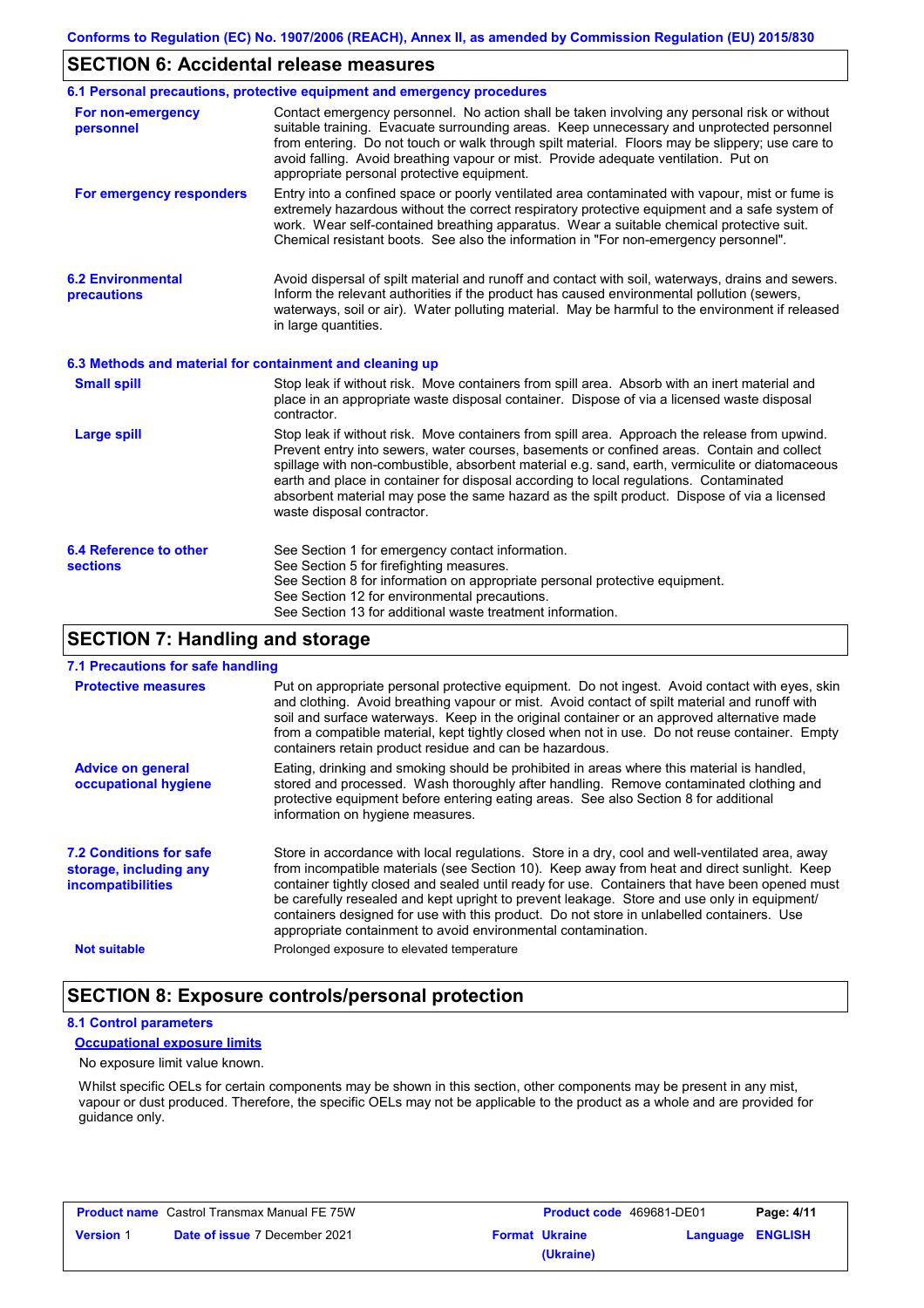### **SECTION 6: Accidental release measures**

|                                                          | 6.1 Personal precautions, protective equipment and emergency procedures                                                                                                                                                                                                                                                                                                                                                                                                                                               |  |  |
|----------------------------------------------------------|-----------------------------------------------------------------------------------------------------------------------------------------------------------------------------------------------------------------------------------------------------------------------------------------------------------------------------------------------------------------------------------------------------------------------------------------------------------------------------------------------------------------------|--|--|
| For non-emergency<br>personnel                           | Contact emergency personnel. No action shall be taken involving any personal risk or without<br>suitable training. Evacuate surrounding areas. Keep unnecessary and unprotected personnel<br>from entering. Do not touch or walk through spilt material. Floors may be slippery; use care to<br>avoid falling. Avoid breathing vapour or mist. Provide adequate ventilation. Put on<br>appropriate personal protective equipment.                                                                                     |  |  |
| For emergency responders                                 | Entry into a confined space or poorly ventilated area contaminated with vapour, mist or fume is<br>extremely hazardous without the correct respiratory protective equipment and a safe system of<br>work. Wear self-contained breathing apparatus. Wear a suitable chemical protective suit.<br>Chemical resistant boots. See also the information in "For non-emergency personnel".                                                                                                                                  |  |  |
| <b>6.2 Environmental</b><br>precautions                  | Avoid dispersal of spilt material and runoff and contact with soil, waterways, drains and sewers.<br>Inform the relevant authorities if the product has caused environmental pollution (sewers,<br>waterways, soil or air). Water polluting material. May be harmful to the environment if released<br>in large quantities.                                                                                                                                                                                           |  |  |
| 6.3 Methods and material for containment and cleaning up |                                                                                                                                                                                                                                                                                                                                                                                                                                                                                                                       |  |  |
| <b>Small spill</b>                                       | Stop leak if without risk. Move containers from spill area. Absorb with an inert material and<br>place in an appropriate waste disposal container. Dispose of via a licensed waste disposal<br>contractor.                                                                                                                                                                                                                                                                                                            |  |  |
| <b>Large spill</b>                                       | Stop leak if without risk. Move containers from spill area. Approach the release from upwind.<br>Prevent entry into sewers, water courses, basements or confined areas. Contain and collect<br>spillage with non-combustible, absorbent material e.g. sand, earth, vermiculite or diatomaceous<br>earth and place in container for disposal according to local regulations. Contaminated<br>absorbent material may pose the same hazard as the spilt product. Dispose of via a licensed<br>waste disposal contractor. |  |  |
| 6.4 Reference to other<br><b>sections</b>                | See Section 1 for emergency contact information.<br>See Section 5 for firefighting measures.<br>See Section 8 for information on appropriate personal protective equipment.<br>See Section 12 for environmental precautions.<br>See Section 13 for additional waste treatment information.                                                                                                                                                                                                                            |  |  |

### **SECTION 7: Handling and storage**

### **7.1 Precautions for safe handling**

| 7.1 1 TUUUUTUTTU TUT JUTU TIUTTUTTI                                                  |                                                                                                                                                                                                                                                                                                                                                                                                                                                                                                                                                               |
|--------------------------------------------------------------------------------------|---------------------------------------------------------------------------------------------------------------------------------------------------------------------------------------------------------------------------------------------------------------------------------------------------------------------------------------------------------------------------------------------------------------------------------------------------------------------------------------------------------------------------------------------------------------|
| <b>Protective measures</b>                                                           | Put on appropriate personal protective equipment. Do not ingest. Avoid contact with eyes, skin<br>and clothing. Avoid breathing vapour or mist. Avoid contact of spilt material and runoff with<br>soil and surface waterways. Keep in the original container or an approved alternative made<br>from a compatible material, kept tightly closed when not in use. Do not reuse container. Empty<br>containers retain product residue and can be hazardous.                                                                                                    |
| <b>Advice on general</b><br>occupational hygiene                                     | Eating, drinking and smoking should be prohibited in areas where this material is handled,<br>stored and processed. Wash thoroughly after handling. Remove contaminated clothing and<br>protective equipment before entering eating areas. See also Section 8 for additional<br>information on hygiene measures.                                                                                                                                                                                                                                              |
| <b>7.2 Conditions for safe</b><br>storage, including any<br><b>incompatibilities</b> | Store in accordance with local requlations. Store in a dry, cool and well-ventilated area, away<br>from incompatible materials (see Section 10). Keep away from heat and direct sunlight. Keep<br>container tightly closed and sealed until ready for use. Containers that have been opened must<br>be carefully resealed and kept upright to prevent leakage. Store and use only in equipment/<br>containers designed for use with this product. Do not store in unlabelled containers. Use<br>appropriate containment to avoid environmental contamination. |
| <b>Not suitable</b>                                                                  | Prolonged exposure to elevated temperature                                                                                                                                                                                                                                                                                                                                                                                                                                                                                                                    |

### **SECTION 8: Exposure controls/personal protection**

#### **8.1 Control parameters**

### **Occupational exposure limits**

#### No exposure limit value known.

Whilst specific OELs for certain components may be shown in this section, other components may be present in any mist, vapour or dust produced. Therefore, the specific OELs may not be applicable to the product as a whole and are provided for guidance only.

| <b>Product name</b> Castrol Transmax Manual FE 75W |                                      | Product code 469681-DE01 |                       | Page: 4/11       |  |
|----------------------------------------------------|--------------------------------------|--------------------------|-----------------------|------------------|--|
| <b>Version 1</b>                                   | <b>Date of issue 7 December 2021</b> |                          | <b>Format Ukraine</b> | Language ENGLISH |  |
|                                                    |                                      |                          | (Ukraine)             |                  |  |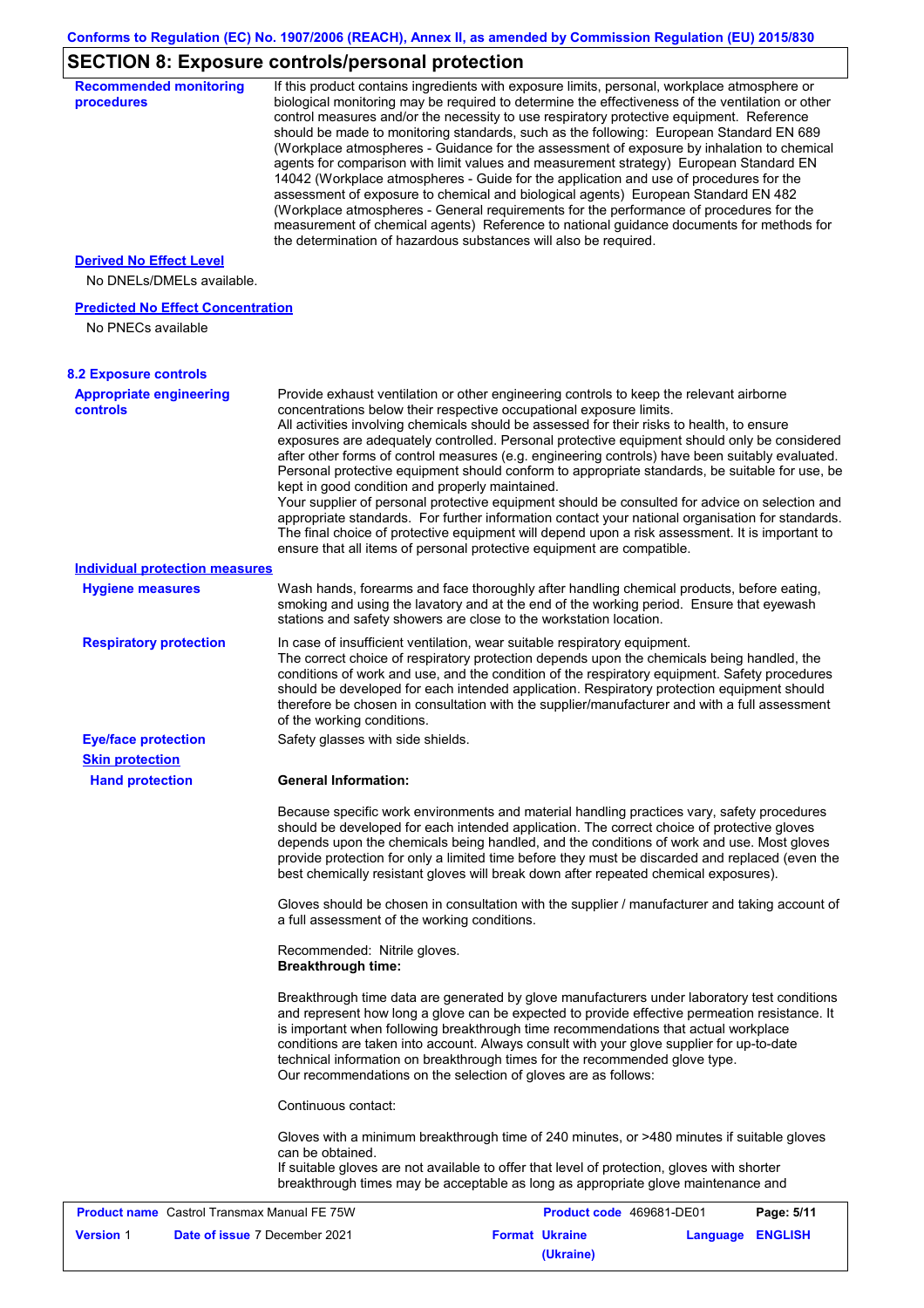# **SECTION 8: Exposure controls/personal protection**

| <b>Recommended monitoring</b><br>procedures                 | If this product contains ingredients with exposure limits, personal, workplace atmosphere or<br>biological monitoring may be required to determine the effectiveness of the ventilation or other<br>control measures and/or the necessity to use respiratory protective equipment. Reference<br>should be made to monitoring standards, such as the following: European Standard EN 689<br>(Workplace atmospheres - Guidance for the assessment of exposure by inhalation to chemical<br>agents for comparison with limit values and measurement strategy) European Standard EN<br>14042 (Workplace atmospheres - Guide for the application and use of procedures for the<br>assessment of exposure to chemical and biological agents) European Standard EN 482<br>(Workplace atmospheres - General requirements for the performance of procedures for the<br>measurement of chemical agents) Reference to national guidance documents for methods for<br>the determination of hazardous substances will also be required. |
|-------------------------------------------------------------|----------------------------------------------------------------------------------------------------------------------------------------------------------------------------------------------------------------------------------------------------------------------------------------------------------------------------------------------------------------------------------------------------------------------------------------------------------------------------------------------------------------------------------------------------------------------------------------------------------------------------------------------------------------------------------------------------------------------------------------------------------------------------------------------------------------------------------------------------------------------------------------------------------------------------------------------------------------------------------------------------------------------------|
| <b>Derived No Effect Level</b><br>No DNELs/DMELs available. |                                                                                                                                                                                                                                                                                                                                                                                                                                                                                                                                                                                                                                                                                                                                                                                                                                                                                                                                                                                                                            |
| <b>Predicted No Effect Concentration</b>                    |                                                                                                                                                                                                                                                                                                                                                                                                                                                                                                                                                                                                                                                                                                                                                                                                                                                                                                                                                                                                                            |
| No PNECs available                                          |                                                                                                                                                                                                                                                                                                                                                                                                                                                                                                                                                                                                                                                                                                                                                                                                                                                                                                                                                                                                                            |
| <b>8.2 Exposure controls</b>                                |                                                                                                                                                                                                                                                                                                                                                                                                                                                                                                                                                                                                                                                                                                                                                                                                                                                                                                                                                                                                                            |
| <b>Appropriate engineering</b><br><b>controls</b>           | Provide exhaust ventilation or other engineering controls to keep the relevant airborne<br>concentrations below their respective occupational exposure limits.<br>All activities involving chemicals should be assessed for their risks to health, to ensure<br>exposures are adequately controlled. Personal protective equipment should only be considered<br>after other forms of control measures (e.g. engineering controls) have been suitably evaluated.<br>Personal protective equipment should conform to appropriate standards, be suitable for use, be<br>kept in good condition and properly maintained.<br>Your supplier of personal protective equipment should be consulted for advice on selection and<br>appropriate standards. For further information contact your national organisation for standards.<br>The final choice of protective equipment will depend upon a risk assessment. It is important to<br>ensure that all items of personal protective equipment are compatible.                    |
| <b>Individual protection measures</b>                       |                                                                                                                                                                                                                                                                                                                                                                                                                                                                                                                                                                                                                                                                                                                                                                                                                                                                                                                                                                                                                            |
| <b>Hygiene measures</b>                                     | Wash hands, forearms and face thoroughly after handling chemical products, before eating,<br>smoking and using the lavatory and at the end of the working period. Ensure that eyewash<br>stations and safety showers are close to the workstation location.                                                                                                                                                                                                                                                                                                                                                                                                                                                                                                                                                                                                                                                                                                                                                                |
| <b>Respiratory protection</b>                               | In case of insufficient ventilation, wear suitable respiratory equipment.<br>The correct choice of respiratory protection depends upon the chemicals being handled, the<br>conditions of work and use, and the condition of the respiratory equipment. Safety procedures<br>should be developed for each intended application. Respiratory protection equipment should<br>therefore be chosen in consultation with the supplier/manufacturer and with a full assessment<br>of the working conditions.                                                                                                                                                                                                                                                                                                                                                                                                                                                                                                                      |
| <b>Eye/face protection</b>                                  | Safety glasses with side shields.                                                                                                                                                                                                                                                                                                                                                                                                                                                                                                                                                                                                                                                                                                                                                                                                                                                                                                                                                                                          |
| <b>Skin protection</b>                                      |                                                                                                                                                                                                                                                                                                                                                                                                                                                                                                                                                                                                                                                                                                                                                                                                                                                                                                                                                                                                                            |
| <b>Hand protection</b>                                      | <b>General Information:</b>                                                                                                                                                                                                                                                                                                                                                                                                                                                                                                                                                                                                                                                                                                                                                                                                                                                                                                                                                                                                |
|                                                             | Because specific work environments and material handling practices vary, safety procedures<br>should be developed for each intended application. The correct choice of protective gloves<br>depends upon the chemicals being handled, and the conditions of work and use. Most gloves<br>provide protection for only a limited time before they must be discarded and replaced (even the<br>best chemically resistant gloves will break down after repeated chemical exposures).                                                                                                                                                                                                                                                                                                                                                                                                                                                                                                                                           |
|                                                             | Gloves should be chosen in consultation with the supplier / manufacturer and taking account of<br>a full assessment of the working conditions.                                                                                                                                                                                                                                                                                                                                                                                                                                                                                                                                                                                                                                                                                                                                                                                                                                                                             |
|                                                             | Recommended: Nitrile gloves.<br><b>Breakthrough time:</b>                                                                                                                                                                                                                                                                                                                                                                                                                                                                                                                                                                                                                                                                                                                                                                                                                                                                                                                                                                  |
|                                                             | Breakthrough time data are generated by glove manufacturers under laboratory test conditions<br>and represent how long a glove can be expected to provide effective permeation resistance. It<br>is important when following breakthrough time recommendations that actual workplace<br>conditions are taken into account. Always consult with your glove supplier for up-to-date<br>technical information on breakthrough times for the recommended glove type.<br>Our recommendations on the selection of gloves are as follows:                                                                                                                                                                                                                                                                                                                                                                                                                                                                                         |
|                                                             | Continuous contact:                                                                                                                                                                                                                                                                                                                                                                                                                                                                                                                                                                                                                                                                                                                                                                                                                                                                                                                                                                                                        |
|                                                             | Gloves with a minimum breakthrough time of 240 minutes, or >480 minutes if suitable gloves<br>can be obtained.<br>If suitable gloves are not available to offer that level of protection, gloves with shorter<br>breakthrough times may be acceptable as long as appropriate glove maintenance and                                                                                                                                                                                                                                                                                                                                                                                                                                                                                                                                                                                                                                                                                                                         |
| <b>Product name</b> Castrol Transmax Manual FE 75W          | Product code 469681-DE01<br>Page: 5/11                                                                                                                                                                                                                                                                                                                                                                                                                                                                                                                                                                                                                                                                                                                                                                                                                                                                                                                                                                                     |
| <b>Version 1</b><br>Date of issue 7 December 2021           | <b>Format Ukraine</b><br>Language ENGLISH<br>(Ukraine)                                                                                                                                                                                                                                                                                                                                                                                                                                                                                                                                                                                                                                                                                                                                                                                                                                                                                                                                                                     |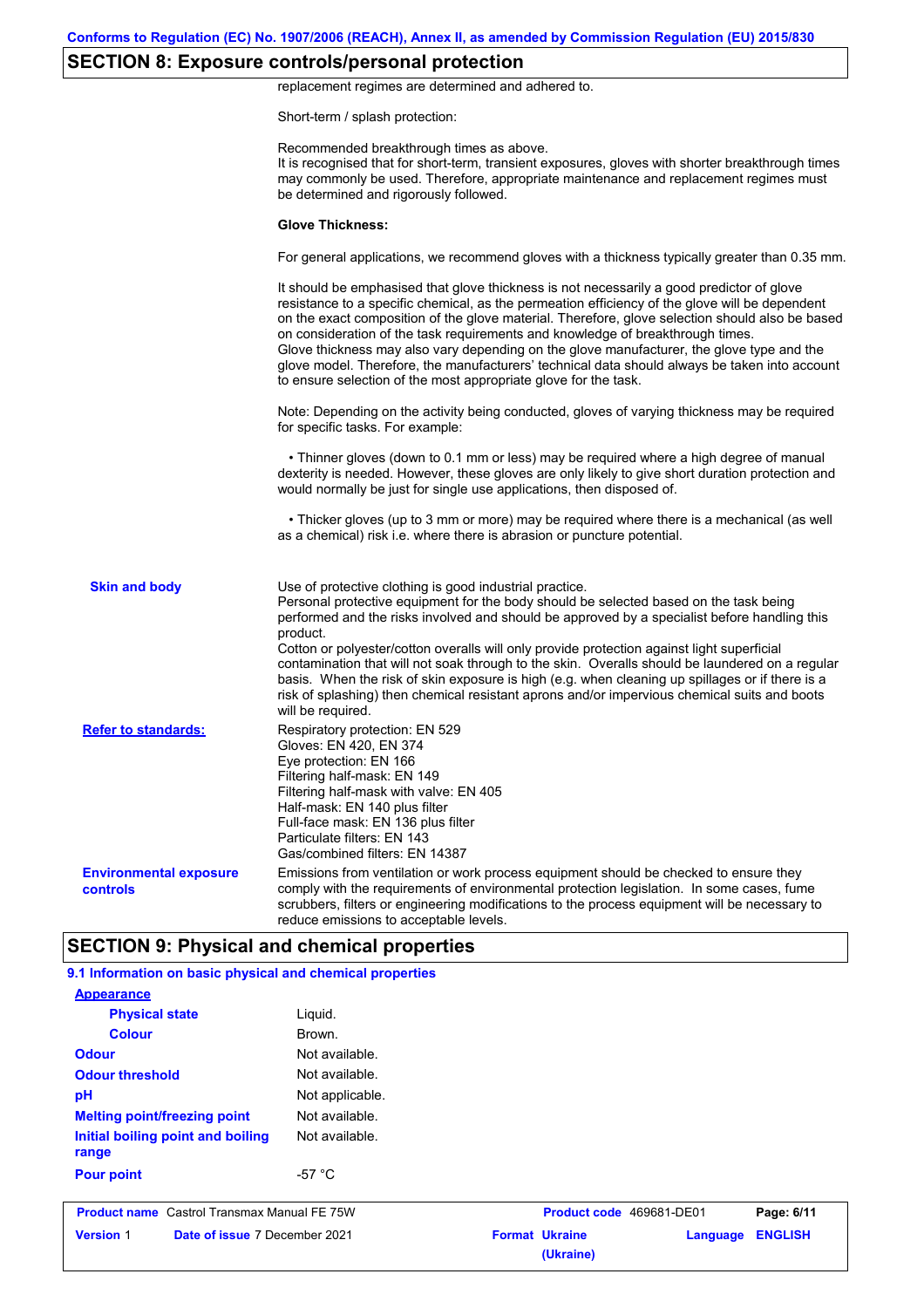## **SECTION 8: Exposure controls/personal protection**

replacement regimes are determined and adhered to.

Short-term / splash protection:

|                                                  | Recommended breakthrough times as above.<br>It is recognised that for short-term, transient exposures, gloves with shorter breakthrough times<br>may commonly be used. Therefore, appropriate maintenance and replacement regimes must<br>be determined and rigorously followed.                                                                                                                                                                                                                                                                                                                                                                                                      |
|--------------------------------------------------|---------------------------------------------------------------------------------------------------------------------------------------------------------------------------------------------------------------------------------------------------------------------------------------------------------------------------------------------------------------------------------------------------------------------------------------------------------------------------------------------------------------------------------------------------------------------------------------------------------------------------------------------------------------------------------------|
|                                                  | <b>Glove Thickness:</b>                                                                                                                                                                                                                                                                                                                                                                                                                                                                                                                                                                                                                                                               |
|                                                  | For general applications, we recommend gloves with a thickness typically greater than 0.35 mm.                                                                                                                                                                                                                                                                                                                                                                                                                                                                                                                                                                                        |
|                                                  | It should be emphasised that glove thickness is not necessarily a good predictor of glove<br>resistance to a specific chemical, as the permeation efficiency of the glove will be dependent<br>on the exact composition of the glove material. Therefore, glove selection should also be based<br>on consideration of the task requirements and knowledge of breakthrough times.<br>Glove thickness may also vary depending on the glove manufacturer, the glove type and the<br>glove model. Therefore, the manufacturers' technical data should always be taken into account<br>to ensure selection of the most appropriate glove for the task.                                     |
|                                                  | Note: Depending on the activity being conducted, gloves of varying thickness may be required<br>for specific tasks. For example:                                                                                                                                                                                                                                                                                                                                                                                                                                                                                                                                                      |
|                                                  | • Thinner gloves (down to 0.1 mm or less) may be required where a high degree of manual<br>dexterity is needed. However, these gloves are only likely to give short duration protection and<br>would normally be just for single use applications, then disposed of.                                                                                                                                                                                                                                                                                                                                                                                                                  |
|                                                  | • Thicker gloves (up to 3 mm or more) may be required where there is a mechanical (as well<br>as a chemical) risk i.e. where there is abrasion or puncture potential.                                                                                                                                                                                                                                                                                                                                                                                                                                                                                                                 |
| <b>Skin and body</b>                             | Use of protective clothing is good industrial practice.<br>Personal protective equipment for the body should be selected based on the task being<br>performed and the risks involved and should be approved by a specialist before handling this<br>product.<br>Cotton or polyester/cotton overalls will only provide protection against light superficial<br>contamination that will not soak through to the skin. Overalls should be laundered on a regular<br>basis. When the risk of skin exposure is high (e.g. when cleaning up spillages or if there is a<br>risk of splashing) then chemical resistant aprons and/or impervious chemical suits and boots<br>will be required. |
| <b>Refer to standards:</b>                       | Respiratory protection: EN 529<br>Gloves: EN 420, EN 374<br>Eye protection: EN 166<br>Filtering half-mask: EN 149<br>Filtering half-mask with valve: EN 405<br>Half-mask: EN 140 plus filter<br>Full-face mask: EN 136 plus filter<br>Particulate filters: EN 143<br>Gas/combined filters: EN 14387                                                                                                                                                                                                                                                                                                                                                                                   |
| <b>Environmental exposure</b><br><b>controls</b> | Emissions from ventilation or work process equipment should be checked to ensure they<br>comply with the requirements of environmental protection legislation. In some cases, fume<br>scrubbers, filters or engineering modifications to the process equipment will be necessary to<br>reduce emissions to acceptable levels.                                                                                                                                                                                                                                                                                                                                                         |

| <b>Appearance</b>                                  |                  |                                    |          |                |
|----------------------------------------------------|------------------|------------------------------------|----------|----------------|
| <b>Physical state</b>                              | Liguid.          |                                    |          |                |
| <b>Colour</b>                                      | Brown.           |                                    |          |                |
| <b>Odour</b>                                       | Not available.   |                                    |          |                |
| <b>Odour threshold</b>                             | Not available.   |                                    |          |                |
| pH                                                 | Not applicable.  |                                    |          |                |
| <b>Melting point/freezing point</b>                | Not available.   |                                    |          |                |
| Initial boiling point and boiling<br>range         | Not available.   |                                    |          |                |
| <b>Pour point</b>                                  | -57 $^{\circ}$ C |                                    |          |                |
| <b>Product name</b> Castrol Transmax Manual FE 75W |                  | Product code 469681-DE01           |          | Page: 6/11     |
| Date of issue 7 December 2021<br><b>Version 1</b>  |                  | <b>Format Ukraine</b><br>(Ukraine) | Language | <b>ENGLISH</b> |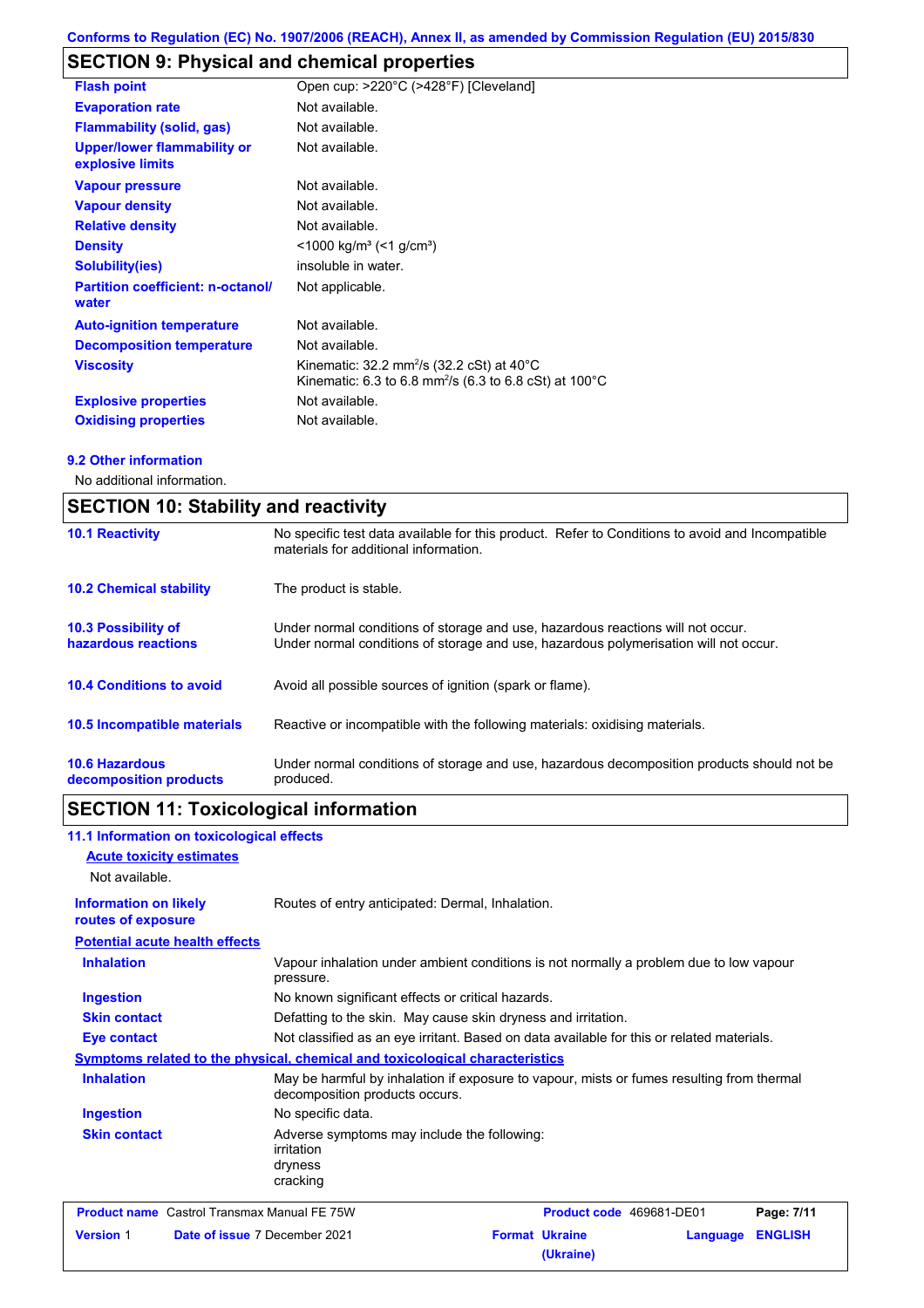## **SECTION 9: Physical and chemical properties**

| <b>Flash point</b>                                     | Open cup: >220°C (>428°F) [Cleveland]                                                                                                       |
|--------------------------------------------------------|---------------------------------------------------------------------------------------------------------------------------------------------|
| <b>Evaporation rate</b>                                | Not available.                                                                                                                              |
| <b>Flammability (solid, gas)</b>                       | Not available.                                                                                                                              |
| <b>Upper/lower flammability or</b><br>explosive limits | Not available.                                                                                                                              |
| <b>Vapour pressure</b>                                 | Not available.                                                                                                                              |
| <b>Vapour density</b>                                  | Not available.                                                                                                                              |
| <b>Relative density</b>                                | Not available.                                                                                                                              |
| <b>Density</b>                                         | $\leq$ 1000 kg/m <sup>3</sup> ( $\leq$ 1 g/cm <sup>3</sup> )                                                                                |
| <b>Solubility(ies)</b>                                 | insoluble in water.                                                                                                                         |
| <b>Partition coefficient: n-octanol/</b><br>water      | Not applicable.                                                                                                                             |
| <b>Auto-ignition temperature</b>                       | Not available.                                                                                                                              |
| <b>Decomposition temperature</b>                       | Not available.                                                                                                                              |
| <b>Viscosity</b>                                       | Kinematic: $32.2 \text{ mm}^2/\text{s}$ (32.2 cSt) at 40 $^{\circ}$ C<br>Kinematic: 6.3 to 6.8 mm <sup>2</sup> /s (6.3 to 6.8 cSt) at 100°C |
| <b>Explosive properties</b>                            | Not available.                                                                                                                              |
| <b>Oxidising properties</b>                            | Not available.                                                                                                                              |

### **9.2 Other information**

No additional information.

| <b>SECTION 10: Stability and reactivity</b>       |                                                                                                                                                                         |  |
|---------------------------------------------------|-------------------------------------------------------------------------------------------------------------------------------------------------------------------------|--|
| <b>10.1 Reactivity</b>                            | No specific test data available for this product. Refer to Conditions to avoid and Incompatible<br>materials for additional information.                                |  |
| <b>10.2 Chemical stability</b>                    | The product is stable.                                                                                                                                                  |  |
| <b>10.3 Possibility of</b><br>hazardous reactions | Under normal conditions of storage and use, hazardous reactions will not occur.<br>Under normal conditions of storage and use, hazardous polymerisation will not occur. |  |
| <b>10.4 Conditions to avoid</b>                   | Avoid all possible sources of ignition (spark or flame).                                                                                                                |  |
| 10.5 Incompatible materials                       | Reactive or incompatible with the following materials: oxidising materials.                                                                                             |  |
| <b>10.6 Hazardous</b><br>decomposition products   | Under normal conditions of storage and use, hazardous decomposition products should not be<br>produced.                                                                 |  |

## **SECTION 11: Toxicological information**

|                                                    | 11.1 Information on toxicological effects          |                                                                                                                             |                                    |          |                |
|----------------------------------------------------|----------------------------------------------------|-----------------------------------------------------------------------------------------------------------------------------|------------------------------------|----------|----------------|
| <b>Acute toxicity estimates</b>                    |                                                    |                                                                                                                             |                                    |          |                |
| Not available.                                     |                                                    |                                                                                                                             |                                    |          |                |
| <b>Information on likely</b><br>routes of exposure |                                                    | Routes of entry anticipated: Dermal, Inhalation.                                                                            |                                    |          |                |
|                                                    | <b>Potential acute health effects</b>              |                                                                                                                             |                                    |          |                |
| <b>Inhalation</b>                                  |                                                    | Vapour inhalation under ambient conditions is not normally a problem due to low vapour<br>pressure.                         |                                    |          |                |
| <b>Ingestion</b>                                   |                                                    | No known significant effects or critical hazards.                                                                           |                                    |          |                |
| <b>Skin contact</b>                                |                                                    | Defatting to the skin. May cause skin dryness and irritation.                                                               |                                    |          |                |
| <b>Eye contact</b>                                 |                                                    | Not classified as an eye irritant. Based on data available for this or related materials.                                   |                                    |          |                |
|                                                    |                                                    | <b>Symptoms related to the physical, chemical and toxicological characteristics</b>                                         |                                    |          |                |
| <b>Inhalation</b>                                  |                                                    | May be harmful by inhalation if exposure to vapour, mists or fumes resulting from thermal<br>decomposition products occurs. |                                    |          |                |
| <b>Ingestion</b>                                   |                                                    | No specific data.                                                                                                           |                                    |          |                |
| <b>Skin contact</b>                                |                                                    | Adverse symptoms may include the following:<br>irritation<br>dryness<br>cracking                                            |                                    |          |                |
|                                                    | <b>Product name</b> Castrol Transmax Manual FE 75W |                                                                                                                             | Product code 469681-DE01           |          | Page: 7/11     |
| <b>Version 1</b>                                   | Date of issue 7 December 2021                      |                                                                                                                             | <b>Format Ukraine</b><br>(Ukraine) | Language | <b>ENGLISH</b> |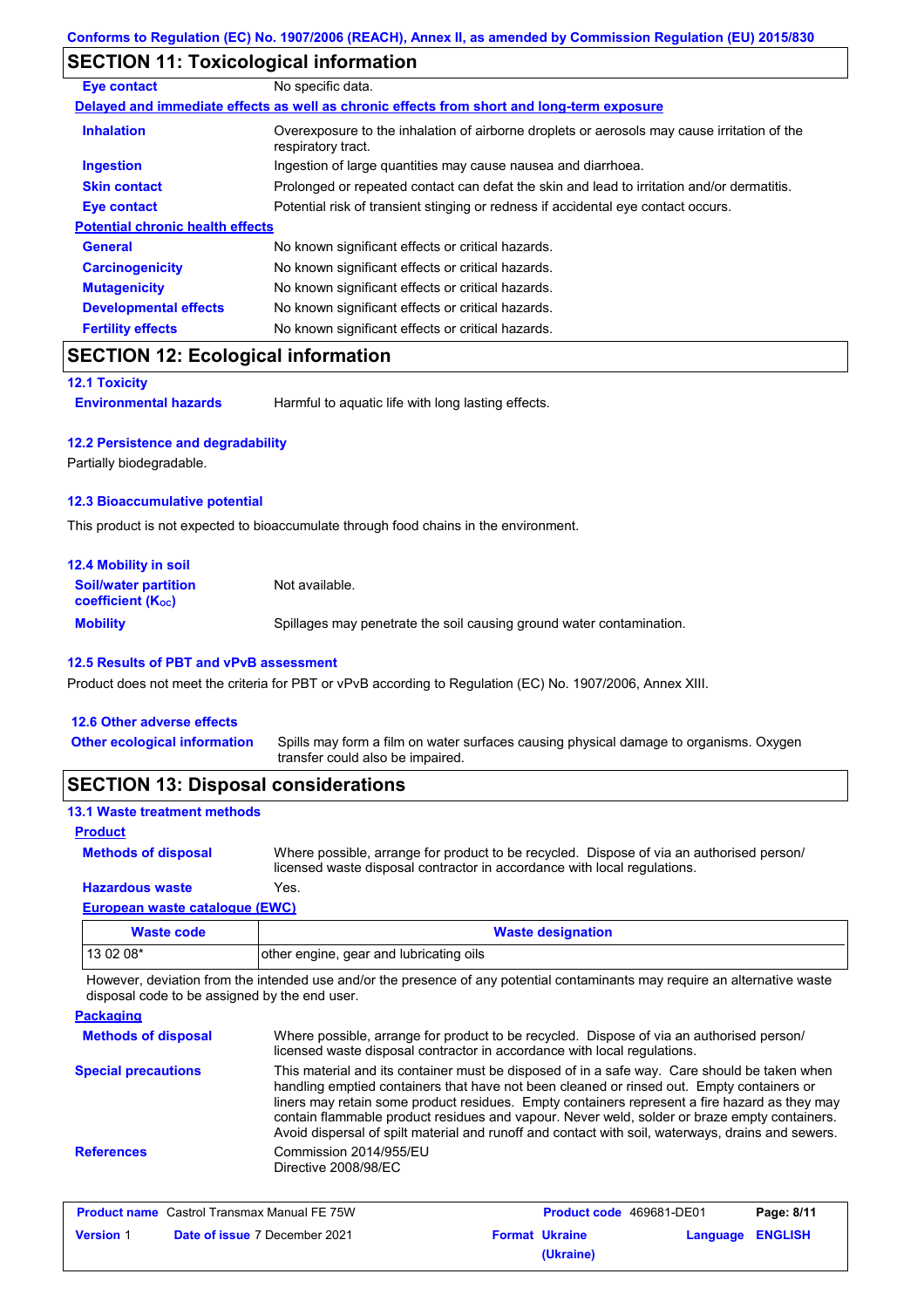## **SECTION 11: Toxicological information**

| Eye contact                             | No specific data.                                                                                                 |
|-----------------------------------------|-------------------------------------------------------------------------------------------------------------------|
|                                         | Delayed and immediate effects as well as chronic effects from short and long-term exposure                        |
| <b>Inhalation</b>                       | Overexposure to the inhalation of airborne droplets or aerosols may cause irritation of the<br>respiratory tract. |
| <b>Ingestion</b>                        | Ingestion of large quantities may cause nausea and diarrhoea.                                                     |
| <b>Skin contact</b>                     | Prolonged or repeated contact can defat the skin and lead to irritation and/or dermatitis.                        |
| <b>Eye contact</b>                      | Potential risk of transient stinging or redness if accidental eye contact occurs.                                 |
| <b>Potential chronic health effects</b> |                                                                                                                   |
| <b>General</b>                          | No known significant effects or critical hazards.                                                                 |
| <b>Carcinogenicity</b>                  | No known significant effects or critical hazards.                                                                 |
| <b>Mutagenicity</b>                     | No known significant effects or critical hazards.                                                                 |
| <b>Developmental effects</b>            | No known significant effects or critical hazards.                                                                 |
| <b>Fertility effects</b>                | No known significant effects or critical hazards.                                                                 |

## **SECTION 12: Ecological information**

**12.1 Toxicity**

**Environmental hazards** Harmful to aquatic life with long lasting effects.

#### **12.2 Persistence and degradability**

Partially biodegradable.

#### **12.3 Bioaccumulative potential**

This product is not expected to bioaccumulate through food chains in the environment.

| <b>12.4 Mobility in soil</b>                                  |                                                                      |
|---------------------------------------------------------------|----------------------------------------------------------------------|
| <b>Soil/water partition</b><br>coefficient (K <sub>oc</sub> ) | Not available.                                                       |
| <b>Mobility</b>                                               | Spillages may penetrate the soil causing ground water contamination. |

#### **12.5 Results of PBT and vPvB assessment**

Product does not meet the criteria for PBT or vPvB according to Regulation (EC) No. 1907/2006, Annex XIII.

| <b>SECTION 13: Disposal considerations</b> |                                                                                                                           |
|--------------------------------------------|---------------------------------------------------------------------------------------------------------------------------|
| <b>Other ecological information</b>        | Spills may form a film on water surfaces causing physical damage to organisms. Oxygen<br>transfer could also be impaired. |
| 12.6 Other adverse effects                 |                                                                                                                           |

### **13.1 Waste treatment methods**

| <b>Product</b> |
|----------------|
|----------------|

Where possible, arrange for product to be recycled. Dispose of via an authorised person/ licensed waste disposal contractor in accordance with local regulations. **Methods of disposal**

### **European waste catalogue (EWC) Hazardous waste** Yes.

| Waste code | <b>Waste designation</b>                |
|------------|-----------------------------------------|
| $130208*$  | other engine, gear and lubricating oils |

However, deviation from the intended use and/or the presence of any potential contaminants may require an alternative waste disposal code to be assigned by the end user.

| <b>Packaging</b>           |                                                                                                                                                                                                                                                                                                                                                                                                                                                                                                 |
|----------------------------|-------------------------------------------------------------------------------------------------------------------------------------------------------------------------------------------------------------------------------------------------------------------------------------------------------------------------------------------------------------------------------------------------------------------------------------------------------------------------------------------------|
| <b>Methods of disposal</b> | Where possible, arrange for product to be recycled. Dispose of via an authorised person/<br>licensed waste disposal contractor in accordance with local regulations.                                                                                                                                                                                                                                                                                                                            |
| <b>Special precautions</b> | This material and its container must be disposed of in a safe way. Care should be taken when<br>handling emptied containers that have not been cleaned or rinsed out. Empty containers or<br>liners may retain some product residues. Empty containers represent a fire hazard as they may<br>contain flammable product residues and vapour. Never weld, solder or braze empty containers.<br>Avoid dispersal of spilt material and runoff and contact with soil, waterways, drains and sewers. |
| <b>References</b>          | Commission 2014/955/EU<br>Directive 2008/98/EC                                                                                                                                                                                                                                                                                                                                                                                                                                                  |

| <b>Product name</b> Castrol Transmax Manual FE 75W |                                      | <b>Product code</b> 469681-DE01 |           | Page: 8/11              |  |
|----------------------------------------------------|--------------------------------------|---------------------------------|-----------|-------------------------|--|
| <b>Version 1</b>                                   | <b>Date of issue 7 December 2021</b> | <b>Format Ukraine</b>           |           | <b>Language ENGLISH</b> |  |
|                                                    |                                      |                                 | (Ukraine) |                         |  |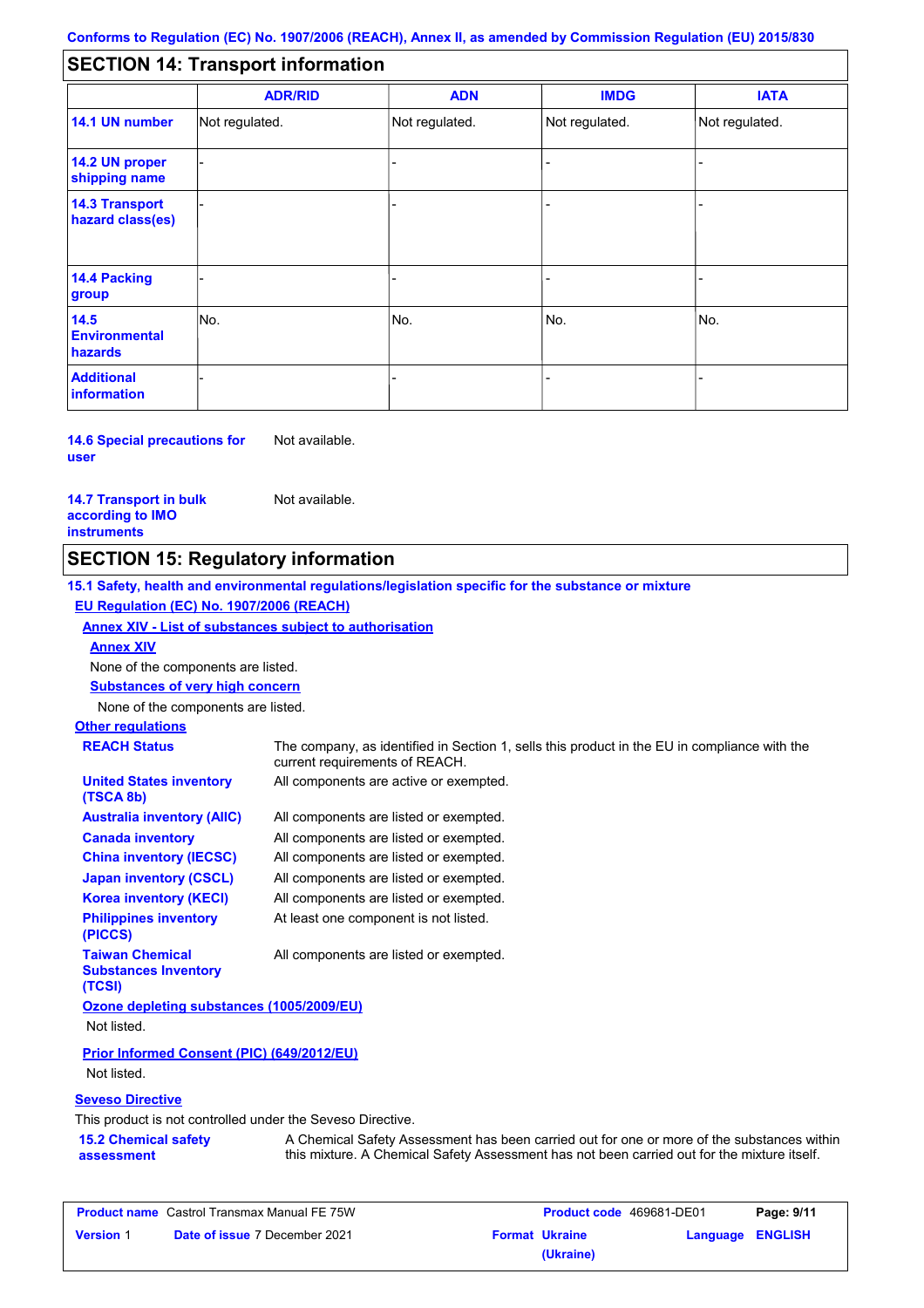#### - - - - - - - - - Not regulated. Not regulated. Not regulated. - - - **SECTION 14: Transport information ADR/RID IMDG IATA 14.1 UN number 14.2 UN proper shipping name 14.3 Transport hazard class(es) 14.4 Packing group ADN Additional information 14.5 Environmental hazards** No. 1980 | No. 1980 | No. 1980 | No. 1980 | No. 1980 | No. 1980 | No. 1980 | No. 1980 | No. 1980 | No. 1980 | Not regulated. - No. - -

**14.6 Special precautions for user** Not available.

#### **14.7 Transport in bulk according to IMO instruments**

Not available.

### **SECTION 15: Regulatory information**

**15.1 Safety, health and environmental regulations/legislation specific for the substance or mixture EU Regulation (EC) No. 1907/2006 (REACH)**

### **Annex XIV - List of substances subject to authorisation**

**Annex XIV**

None of the components are listed.

**Substances of very high concern**

None of the components are listed.

## **Other regulations**

| <b>REACH Status</b>                                             | The company, as identified in Section 1, sells this product in the EU in compliance with the<br>current requirements of REACH. |
|-----------------------------------------------------------------|--------------------------------------------------------------------------------------------------------------------------------|
| <b>United States inventory</b><br>(TSCA 8b)                     | All components are active or exempted.                                                                                         |
| <b>Australia inventory (AIIC)</b>                               | All components are listed or exempted.                                                                                         |
| <b>Canada inventory</b>                                         | All components are listed or exempted.                                                                                         |
| <b>China inventory (IECSC)</b>                                  | All components are listed or exempted.                                                                                         |
| <b>Japan inventory (CSCL)</b>                                   | All components are listed or exempted.                                                                                         |
| <b>Korea inventory (KECI)</b>                                   | All components are listed or exempted.                                                                                         |
| <b>Philippines inventory</b><br>(PICCS)                         | At least one component is not listed.                                                                                          |
| <b>Taiwan Chemical</b><br><b>Substances Inventory</b><br>(TCSI) | All components are listed or exempted.                                                                                         |
| Ozone depleting substances (1005/2009/EU)                       |                                                                                                                                |
| Not listed.                                                     |                                                                                                                                |
| <b>Prior Informed Consent (PIC) (649/2012/EU)</b>               |                                                                                                                                |

Not listed.

### **Seveso Directive**

This product is not controlled under the Seveso Directive.

| <b>15.2 Chemical safety</b> | A Chemical Safety Assessment has been carried out for one or more of the substances within  |
|-----------------------------|---------------------------------------------------------------------------------------------|
| assessment                  | this mixture. A Chemical Safety Assessment has not been carried out for the mixture itself. |

| <b>Product name</b> Castrol Transmax Manual FE 75W |                                      | Product code 469681-DE01 |                  | Page: 9/11 |
|----------------------------------------------------|--------------------------------------|--------------------------|------------------|------------|
| <b>Version 1</b>                                   | <b>Date of issue 7 December 2021</b> | <b>Format Ukraine</b>    | Language ENGLISH |            |
|                                                    |                                      | (Ukraine)                |                  |            |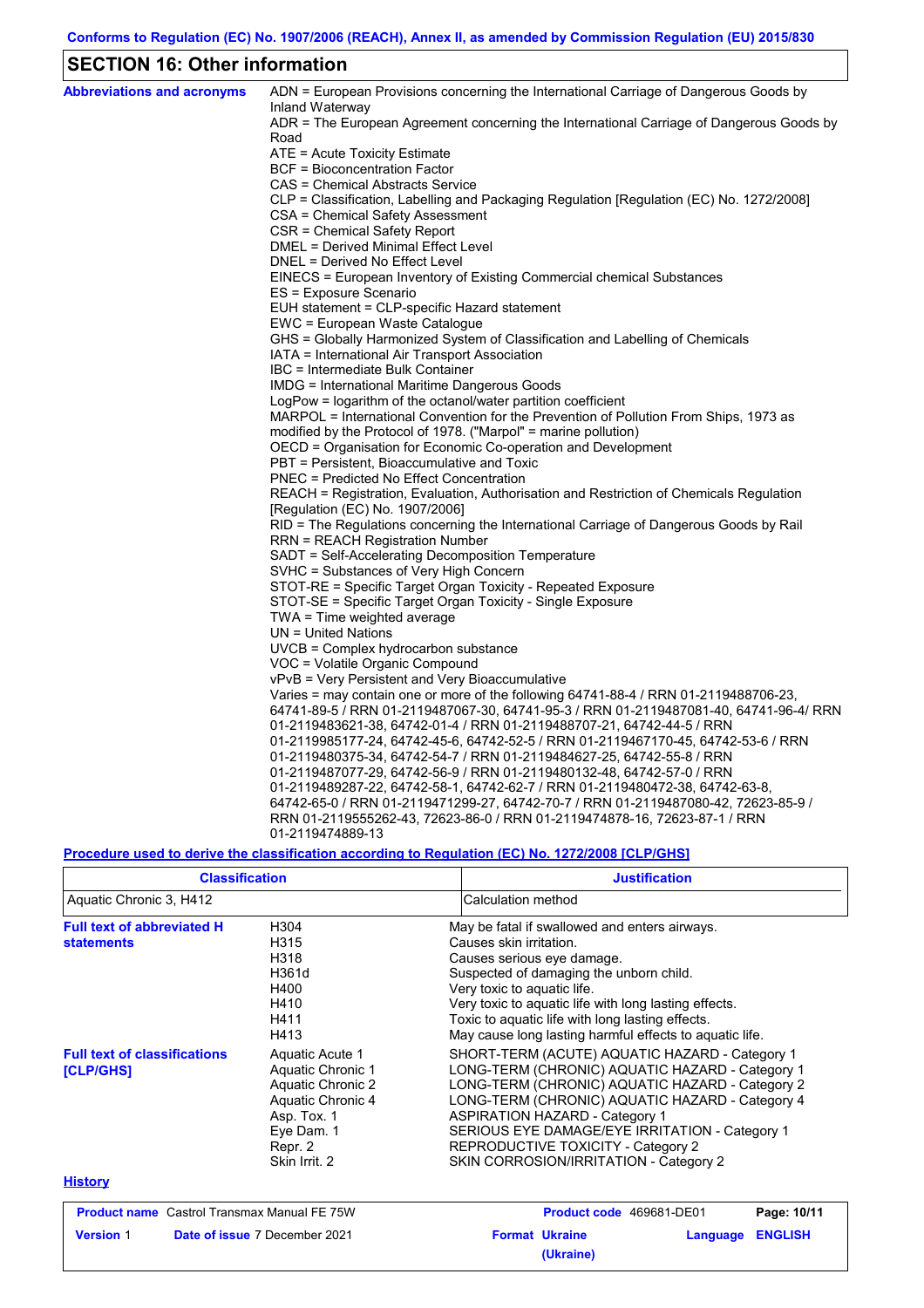## **SECTION 16: Other information**

| <b>Abbreviations and acronyms</b> | ADN = European Provisions concerning the International Carriage of Dangerous Goods by                       |
|-----------------------------------|-------------------------------------------------------------------------------------------------------------|
|                                   | Inland Waterway<br>ADR = The European Agreement concerning the International Carriage of Dangerous Goods by |
|                                   | Road                                                                                                        |
|                                   | ATE = Acute Toxicity Estimate                                                                               |
|                                   | <b>BCF</b> = Bioconcentration Factor                                                                        |
|                                   | CAS = Chemical Abstracts Service                                                                            |
|                                   | CLP = Classification, Labelling and Packaging Regulation [Regulation (EC) No. 1272/2008]                    |
|                                   | CSA = Chemical Safety Assessment                                                                            |
|                                   | CSR = Chemical Safety Report                                                                                |
|                                   | DMEL = Derived Minimal Effect Level                                                                         |
|                                   | DNEL = Derived No Effect Level                                                                              |
|                                   | EINECS = European Inventory of Existing Commercial chemical Substances                                      |
|                                   | ES = Exposure Scenario                                                                                      |
|                                   | EUH statement = CLP-specific Hazard statement                                                               |
|                                   | EWC = European Waste Catalogue                                                                              |
|                                   | GHS = Globally Harmonized System of Classification and Labelling of Chemicals                               |
|                                   | IATA = International Air Transport Association                                                              |
|                                   | IBC = Intermediate Bulk Container                                                                           |
|                                   | IMDG = International Maritime Dangerous Goods                                                               |
|                                   | LogPow = logarithm of the octanol/water partition coefficient                                               |
|                                   | MARPOL = International Convention for the Prevention of Pollution From Ships, 1973 as                       |
|                                   | modified by the Protocol of 1978. ("Marpol" = marine pollution)                                             |
|                                   | OECD = Organisation for Economic Co-operation and Development                                               |
|                                   | PBT = Persistent, Bioaccumulative and Toxic                                                                 |
|                                   | PNEC = Predicted No Effect Concentration                                                                    |
|                                   | REACH = Registration, Evaluation, Authorisation and Restriction of Chemicals Regulation                     |
|                                   | [Regulation (EC) No. 1907/2006]                                                                             |
|                                   | RID = The Regulations concerning the International Carriage of Dangerous Goods by Rail                      |
|                                   | RRN = REACH Registration Number                                                                             |
|                                   | SADT = Self-Accelerating Decomposition Temperature                                                          |
|                                   | SVHC = Substances of Very High Concern                                                                      |
|                                   | STOT-RE = Specific Target Organ Toxicity - Repeated Exposure                                                |
|                                   | STOT-SE = Specific Target Organ Toxicity - Single Exposure                                                  |
|                                   | $TWA = Time weighted average$                                                                               |
|                                   | UN = United Nations                                                                                         |
|                                   | UVCB = Complex hydrocarbon substance<br>VOC = Volatile Organic Compound                                     |
|                                   | vPvB = Very Persistent and Very Bioaccumulative                                                             |
|                                   | Varies = may contain one or more of the following 64741-88-4 / RRN 01-2119488706-23,                        |
|                                   | 64741-89-5 / RRN 01-2119487067-30, 64741-95-3 / RRN 01-2119487081-40, 64741-96-4/ RRN                       |
|                                   | 01-2119483621-38, 64742-01-4 / RRN 01-2119488707-21, 64742-44-5 / RRN                                       |
|                                   | 01-2119985177-24, 64742-45-6, 64742-52-5 / RRN 01-2119467170-45, 64742-53-6 / RRN                           |
|                                   | 01-2119480375-34, 64742-54-7 / RRN 01-2119484627-25, 64742-55-8 / RRN                                       |
|                                   | 01-2119487077-29, 64742-56-9 / RRN 01-2119480132-48, 64742-57-0 / RRN                                       |
|                                   | 01-2119489287-22, 64742-58-1, 64742-62-7 / RRN 01-2119480472-38, 64742-63-8,                                |
|                                   | 64742-65-0 / RRN 01-2119471299-27, 64742-70-7 / RRN 01-2119487080-42, 72623-85-9 /                          |
|                                   | RRN 01-2119555262-43, 72623-86-0 / RRN 01-2119474878-16, 72623-87-1 / RRN                                   |
|                                   | 01-2119474889-13                                                                                            |

### **Procedure used to derive the classification according to Regulation (EC) No. 1272/2008 [CLP/GHS]**

| <b>Classification</b>                                  |                                                                                                                                         | <b>Justification</b>                                                                                                                                                                                                                                                                                                                                                               |
|--------------------------------------------------------|-----------------------------------------------------------------------------------------------------------------------------------------|------------------------------------------------------------------------------------------------------------------------------------------------------------------------------------------------------------------------------------------------------------------------------------------------------------------------------------------------------------------------------------|
| Aquatic Chronic 3, H412                                |                                                                                                                                         | Calculation method                                                                                                                                                                                                                                                                                                                                                                 |
| <b>Full text of abbreviated H</b><br><b>statements</b> | H304<br>H315<br>H318<br>H361d<br>H400<br>H410<br>H411<br>H413                                                                           | May be fatal if swallowed and enters airways.<br>Causes skin irritation.<br>Causes serious eye damage.<br>Suspected of damaging the unborn child.<br>Very toxic to aquatic life.<br>Very toxic to aquatic life with long lasting effects.<br>Toxic to aquatic life with long lasting effects.<br>May cause long lasting harmful effects to aquatic life.                           |
| <b>Full text of classifications</b><br>[CLP/GHS]       | Aquatic Acute 1<br>Aquatic Chronic 1<br>Aquatic Chronic 2<br>Aquatic Chronic 4<br>Asp. Tox. 1<br>Eye Dam. 1<br>Repr. 2<br>Skin Irrit. 2 | SHORT-TERM (ACUTE) AQUATIC HAZARD - Category 1<br>LONG-TERM (CHRONIC) AQUATIC HAZARD - Category 1<br>LONG-TERM (CHRONIC) AQUATIC HAZARD - Category 2<br>LONG-TERM (CHRONIC) AQUATIC HAZARD - Category 4<br><b>ASPIRATION HAZARD - Category 1</b><br>SERIOUS EYE DAMAGE/EYE IRRITATION - Category 1<br>REPRODUCTIVE TOXICITY - Category 2<br>SKIN CORROSION/IRRITATION - Category 2 |
| <b>History</b>                                         |                                                                                                                                         |                                                                                                                                                                                                                                                                                                                                                                                    |
| <b>Product name</b> Castrol Transmax Manual FE 75W     |                                                                                                                                         | Page: 10/11<br>Product code 469681-DE01                                                                                                                                                                                                                                                                                                                                            |
| <b>Version 1</b>                                       | Date of issue 7 December 2021                                                                                                           | <b>Format Ukraine</b><br><b>ENGLISH</b><br>Language<br>(Ukraine)                                                                                                                                                                                                                                                                                                                   |